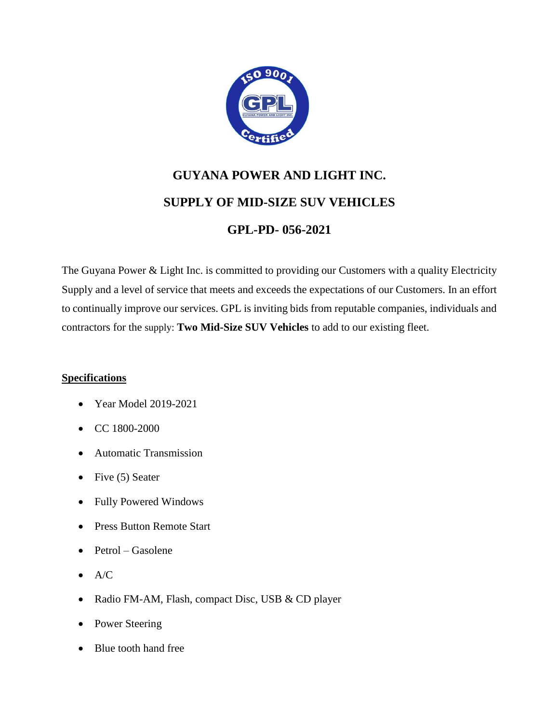

# **GUYANA POWER AND LIGHT INC. SUPPLY OF MID-SIZE SUV VEHICLES GPL-PD- 056-2021**

The Guyana Power & Light Inc. is committed to providing our Customers with a quality Electricity Supply and a level of service that meets and exceeds the expectations of our Customers. In an effort to continually improve our services. GPL is inviting bids from reputable companies, individuals and contractors for the supply: **Two Mid-Size SUV Vehicles** to add to our existing fleet.

## **Specifications**

- Year Model 2019-2021
- CC 1800-2000
- Automatic Transmission
- Five  $(5)$  Seater
- Fully Powered Windows
- Press Button Remote Start
- $\bullet$  Petrol Gasolene
- $\bullet$  A/C
- Radio FM-AM, Flash, compact Disc, USB & CD player
- Power Steering
- Blue tooth hand free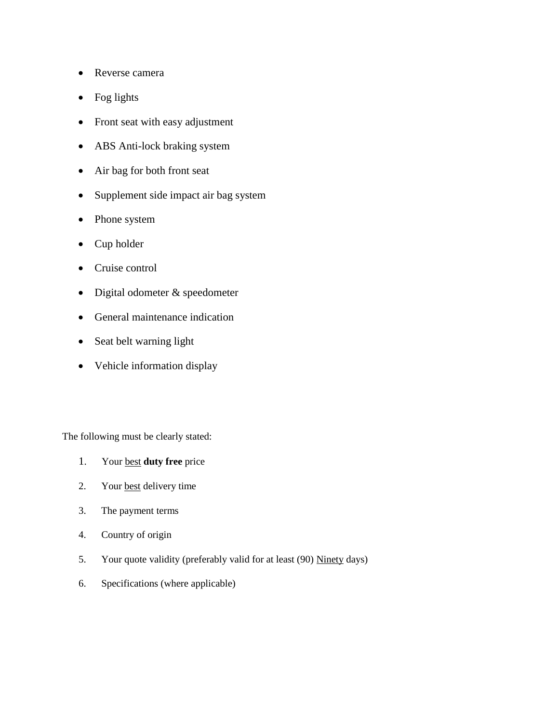- Reverse camera
- Fog lights
- Front seat with easy adjustment
- ABS Anti-lock braking system
- Air bag for both front seat
- Supplement side impact air bag system
- Phone system
- Cup holder
- Cruise control
- Digital odometer & speedometer
- General maintenance indication
- Seat belt warning light
- Vehicle information display

The following must be clearly stated:

- 1. Your best **duty free** price
- 2. Your best delivery time
- 3. The payment terms
- 4. Country of origin
- 5. Your quote validity (preferably valid for at least (90) Ninety days)
- 6. Specifications (where applicable)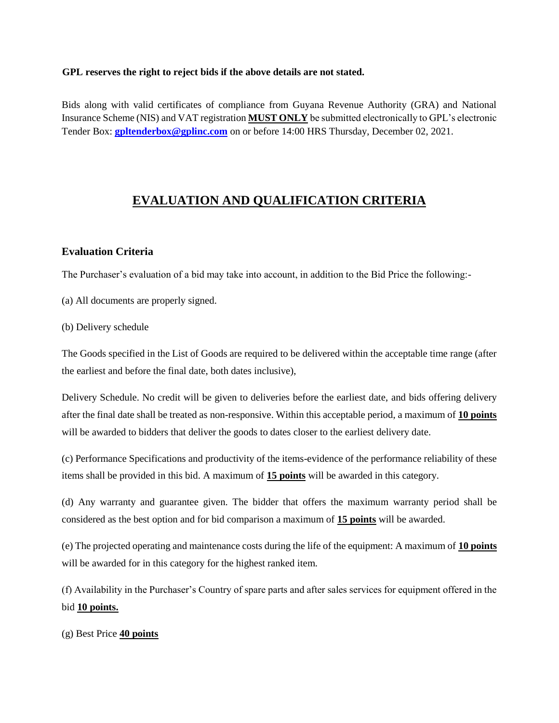#### **GPL reserves the right to reject bids if the above details are not stated.**

Bids along with valid certificates of compliance from Guyana Revenue Authority (GRA) and National Insurance Scheme (NIS) and VAT registration **MUST ONLY** be submitted electronically to GPL's electronic Tender Box: **[gpltenderbox@gplinc.com](mailto:gpltenderbox@gplinc.com)** on or before 14:00 HRS Thursday, December 02, 2021.

# **EVALUATION AND QUALIFICATION CRITERIA**

#### **Evaluation Criteria**

The Purchaser's evaluation of a bid may take into account, in addition to the Bid Price the following:-

(a) All documents are properly signed.

(b) Delivery schedule

The Goods specified in the List of Goods are required to be delivered within the acceptable time range (after the earliest and before the final date, both dates inclusive),

Delivery Schedule. No credit will be given to deliveries before the earliest date, and bids offering delivery after the final date shall be treated as non-responsive. Within this acceptable period, a maximum of **10 points**  will be awarded to bidders that deliver the goods to dates closer to the earliest delivery date.

(c) Performance Specifications and productivity of the items-evidence of the performance reliability of these items shall be provided in this bid. A maximum of **15 points** will be awarded in this category.

(d) Any warranty and guarantee given. The bidder that offers the maximum warranty period shall be considered as the best option and for bid comparison a maximum of **15 points** will be awarded.

(e) The projected operating and maintenance costs during the life of the equipment: A maximum of **10 points**  will be awarded for in this category for the highest ranked item.

(f) Availability in the Purchaser's Country of spare parts and after sales services for equipment offered in the bid **10 points.**

(g) Best Price **40 points**